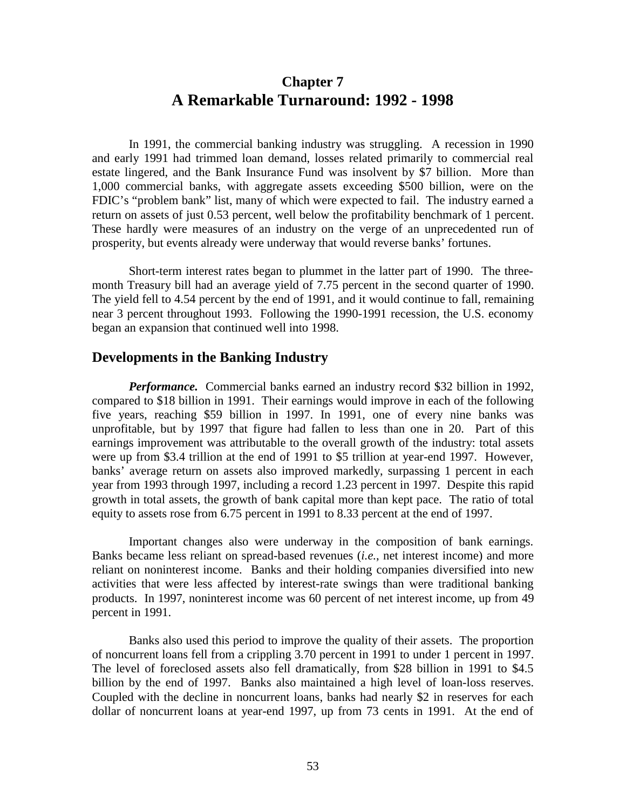# **Chapter 7 A Remarkable Turnaround: 1992 - 1998**

In 1991, the commercial banking industry was struggling. A recession in 1990 and early 1991 had trimmed loan demand, losses related primarily to commercial real estate lingered, and the Bank Insurance Fund was insolvent by \$7 billion. More than 1,000 commercial banks, with aggregate assets exceeding \$500 billion, were on the FDIC's "problem bank" list, many of which were expected to fail. The industry earned a return on assets of just 0.53 percent, well below the profitability benchmark of 1 percent. These hardly were measures of an industry on the verge of an unprecedented run of prosperity, but events already were underway that would reverse banks' fortunes.

Short-term interest rates began to plummet in the latter part of 1990. The threemonth Treasury bill had an average yield of 7.75 percent in the second quarter of 1990. The yield fell to 4.54 percent by the end of 1991, and it would continue to fall, remaining near 3 percent throughout 1993. Following the 1990-1991 recession, the U.S. economy began an expansion that continued well into 1998.

#### **Developments in the Banking Industry**

*Performance.* Commercial banks earned an industry record \$32 billion in 1992, compared to \$18 billion in 1991. Their earnings would improve in each of the following five years, reaching \$59 billion in 1997. In 1991, one of every nine banks was unprofitable, but by 1997 that figure had fallen to less than one in 20. Part of this earnings improvement was attributable to the overall growth of the industry: total assets were up from \$3.4 trillion at the end of 1991 to \$5 trillion at year-end 1997. However, banks' average return on assets also improved markedly, surpassing 1 percent in each year from 1993 through 1997, including a record 1.23 percent in 1997. Despite this rapid growth in total assets, the growth of bank capital more than kept pace. The ratio of total equity to assets rose from 6.75 percent in 1991 to 8.33 percent at the end of 1997.

Important changes also were underway in the composition of bank earnings. Banks became less reliant on spread-based revenues (*i.e.*, net interest income) and more reliant on noninterest income. Banks and their holding companies diversified into new activities that were less affected by interest-rate swings than were traditional banking products. In 1997, noninterest income was 60 percent of net interest income, up from 49 percent in 1991.

Banks also used this period to improve the quality of their assets. The proportion of noncurrent loans fell from a crippling 3.70 percent in 1991 to under 1 percent in 1997. The level of foreclosed assets also fell dramatically, from \$28 billion in 1991 to \$4.5 billion by the end of 1997. Banks also maintained a high level of loan-loss reserves. Coupled with the decline in noncurrent loans, banks had nearly \$2 in reserves for each dollar of noncurrent loans at year-end 1997, up from 73 cents in 1991. At the end of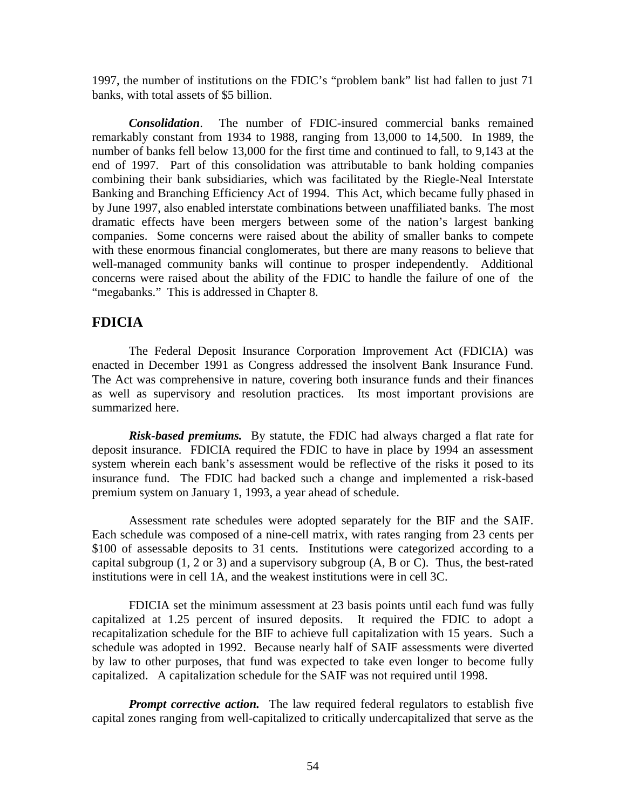1997, the number of institutions on the FDIC's "problem bank" list had fallen to just 71 banks, with total assets of \$5 billion.

*Consolidation*. The number of FDIC-insured commercial banks remained remarkably constant from 1934 to 1988, ranging from 13,000 to 14,500. In 1989, the number of banks fell below 13,000 for the first time and continued to fall, to 9,143 at the end of 1997. Part of this consolidation was attributable to bank holding companies combining their bank subsidiaries, which was facilitated by the Riegle-Neal Interstate Banking and Branching Efficiency Act of 1994. This Act, which became fully phased in by June 1997, also enabled interstate combinations between unaffiliated banks. The most dramatic effects have been mergers between some of the nation's largest banking companies. Some concerns were raised about the ability of smaller banks to compete with these enormous financial conglomerates, but there are many reasons to believe that well-managed community banks will continue to prosper independently. Additional concerns were raised about the ability of the FDIC to handle the failure of one of the "megabanks." This is addressed in Chapter 8.

## **FDICIA**

The Federal Deposit Insurance Corporation Improvement Act (FDICIA) was enacted in December 1991 as Congress addressed the insolvent Bank Insurance Fund. The Act was comprehensive in nature, covering both insurance funds and their finances as well as supervisory and resolution practices. Its most important provisions are summarized here.

*Risk-based premiums.* By statute, the FDIC had always charged a flat rate for deposit insurance. FDICIA required the FDIC to have in place by 1994 an assessment system wherein each bank's assessment would be reflective of the risks it posed to its insurance fund. The FDIC had backed such a change and implemented a risk-based premium system on January 1, 1993, a year ahead of schedule.

Assessment rate schedules were adopted separately for the BIF and the SAIF. Each schedule was composed of a nine-cell matrix, with rates ranging from 23 cents per \$100 of assessable deposits to 31 cents. Institutions were categorized according to a capital subgroup  $(1, 2 \text{ or } 3)$  and a supervisory subgroup  $(A, B \text{ or } C)$ . Thus, the best-rated institutions were in cell 1A, and the weakest institutions were in cell 3C.

FDICIA set the minimum assessment at 23 basis points until each fund was fully capitalized at 1.25 percent of insured deposits. It required the FDIC to adopt a recapitalization schedule for the BIF to achieve full capitalization with 15 years. Such a schedule was adopted in 1992. Because nearly half of SAIF assessments were diverted by law to other purposes, that fund was expected to take even longer to become fully capitalized. A capitalization schedule for the SAIF was not required until 1998.

*Prompt corrective action.* The law required federal regulators to establish five capital zones ranging from well-capitalized to critically undercapitalized that serve as the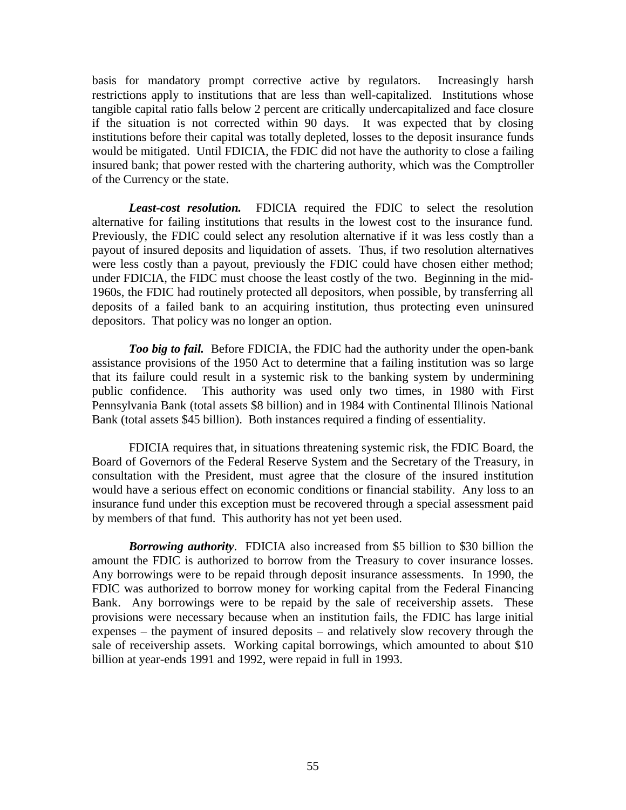basis for mandatory prompt corrective active by regulators. Increasingly harsh restrictions apply to institutions that are less than well-capitalized. Institutions whose tangible capital ratio falls below 2 percent are critically undercapitalized and face closure if the situation is not corrected within 90 days. It was expected that by closing institutions before their capital was totally depleted, losses to the deposit insurance funds would be mitigated. Until FDICIA, the FDIC did not have the authority to close a failing insured bank; that power rested with the chartering authority, which was the Comptroller of the Currency or the state.

*Least-cost resolution.* FDICIA required the FDIC to select the resolution alternative for failing institutions that results in the lowest cost to the insurance fund. Previously, the FDIC could select any resolution alternative if it was less costly than a payout of insured deposits and liquidation of assets. Thus, if two resolution alternatives were less costly than a payout, previously the FDIC could have chosen either method; under FDICIA, the FIDC must choose the least costly of the two. Beginning in the mid-1960s, the FDIC had routinely protected all depositors, when possible, by transferring all deposits of a failed bank to an acquiring institution, thus protecting even uninsured depositors. That policy was no longer an option.

*Too big to fail.* Before FDICIA, the FDIC had the authority under the open-bank assistance provisions of the 1950 Act to determine that a failing institution was so large that its failure could result in a systemic risk to the banking system by undermining public confidence. This authority was used only two times, in 1980 with First Pennsylvania Bank (total assets \$8 billion) and in 1984 with Continental Illinois National Bank (total assets \$45 billion). Both instances required a finding of essentiality.

FDICIA requires that, in situations threatening systemic risk, the FDIC Board, the Board of Governors of the Federal Reserve System and the Secretary of the Treasury, in consultation with the President, must agree that the closure of the insured institution would have a serious effect on economic conditions or financial stability. Any loss to an insurance fund under this exception must be recovered through a special assessment paid by members of that fund. This authority has not yet been used.

*Borrowing authority*. FDICIA also increased from \$5 billion to \$30 billion the amount the FDIC is authorized to borrow from the Treasury to cover insurance losses. Any borrowings were to be repaid through deposit insurance assessments. In 1990, the FDIC was authorized to borrow money for working capital from the Federal Financing Bank. Any borrowings were to be repaid by the sale of receivership assets. These provisions were necessary because when an institution fails, the FDIC has large initial expenses – the payment of insured deposits – and relatively slow recovery through the sale of receivership assets. Working capital borrowings, which amounted to about \$10 billion at year-ends 1991 and 1992, were repaid in full in 1993.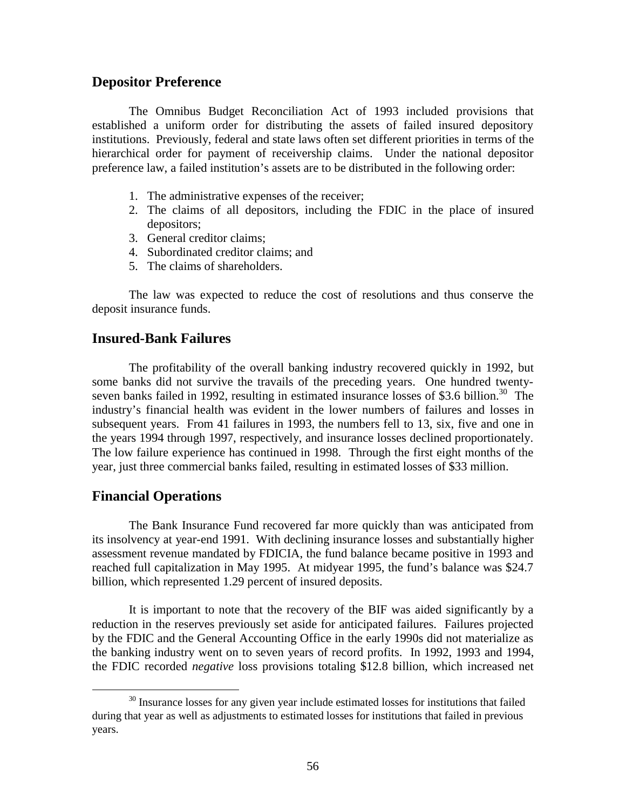### **Depositor Preference**

The Omnibus Budget Reconciliation Act of 1993 included provisions that established a uniform order for distributing the assets of failed insured depository institutions. Previously, federal and state laws often set different priorities in terms of the hierarchical order for payment of receivership claims. Under the national depositor preference law, a failed institution's assets are to be distributed in the following order:

- 1. The administrative expenses of the receiver;
- 2. The claims of all depositors, including the FDIC in the place of insured depositors;
- 3. General creditor claims;
- 4. Subordinated creditor claims; and
- 5. The claims of shareholders.

The law was expected to reduce the cost of resolutions and thus conserve the deposit insurance funds.

### **Insured-Bank Failures**

The profitability of the overall banking industry recovered quickly in 1992, but some banks did not survive the travails of the preceding years. One hundred twentyseven banks failed in 1992, resulting in estimated insurance losses of \$3.6 billion.<sup>30</sup> The industry's financial health was evident in the lower numbers of failures and losses in subsequent years. From 41 failures in 1993, the numbers fell to 13, six, five and one in the years 1994 through 1997, respectively, and insurance losses declined proportionately. The low failure experience has continued in 1998. Through the first eight months of the year, just three commercial banks failed, resulting in estimated losses of \$33 million.

### **Financial Operations**

The Bank Insurance Fund recovered far more quickly than was anticipated from its insolvency at year-end 1991. With declining insurance losses and substantially higher assessment revenue mandated by FDICIA, the fund balance became positive in 1993 and reached full capitalization in May 1995. At midyear 1995, the fund's balance was \$24.7 billion, which represented 1.29 percent of insured deposits.

It is important to note that the recovery of the BIF was aided significantly by a reduction in the reserves previously set aside for anticipated failures. Failures projected by the FDIC and the General Accounting Office in the early 1990s did not materialize as the banking industry went on to seven years of record profits. In 1992, 1993 and 1994, the FDIC recorded *negative* loss provisions totaling \$12.8 billion, which increased net

<sup>&</sup>lt;sup>30</sup> Insurance losses for any given year include estimated losses for institutions that failed during that year as well as adjustments to estimated losses for institutions that failed in previous years.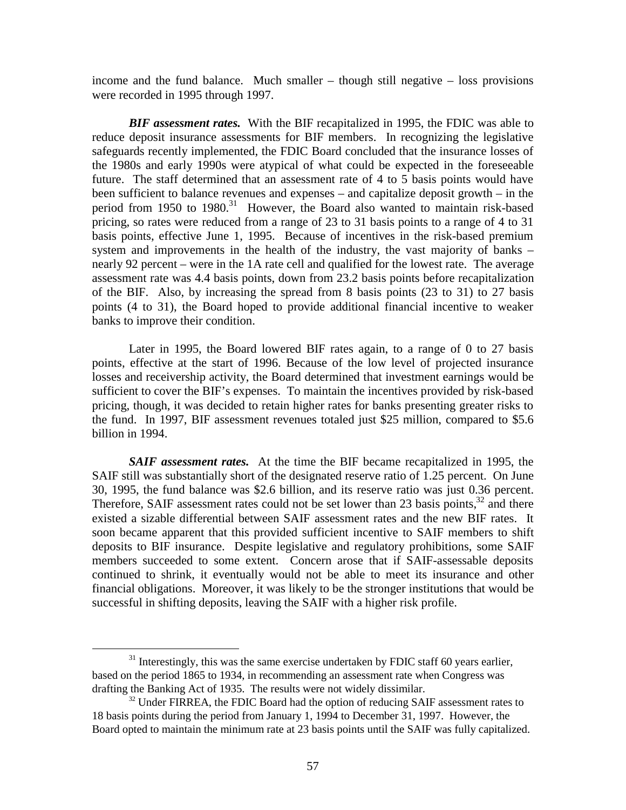income and the fund balance. Much smaller – though still negative – loss provisions were recorded in 1995 through 1997.

*BIF assessment rates.* With the BIF recapitalized in 1995, the FDIC was able to reduce deposit insurance assessments for BIF members. In recognizing the legislative safeguards recently implemented, the FDIC Board concluded that the insurance losses of the 1980s and early 1990s were atypical of what could be expected in the foreseeable future. The staff determined that an assessment rate of 4 to 5 basis points would have been sufficient to balance revenues and expenses – and capitalize deposit growth – in the period from 1950 to 1980.<sup>31</sup> However, the Board also wanted to maintain risk-based pricing, so rates were reduced from a range of 23 to 31 basis points to a range of 4 to 31 basis points, effective June 1, 1995. Because of incentives in the risk-based premium system and improvements in the health of the industry, the vast majority of banks – nearly 92 percent – were in the 1A rate cell and qualified for the lowest rate. The average assessment rate was 4.4 basis points, down from 23.2 basis points before recapitalization of the BIF. Also, by increasing the spread from 8 basis points (23 to 31) to 27 basis points (4 to 31), the Board hoped to provide additional financial incentive to weaker banks to improve their condition.

Later in 1995, the Board lowered BIF rates again, to a range of 0 to 27 basis points, effective at the start of 1996. Because of the low level of projected insurance losses and receivership activity, the Board determined that investment earnings would be sufficient to cover the BIF's expenses. To maintain the incentives provided by risk-based pricing, though, it was decided to retain higher rates for banks presenting greater risks to the fund. In 1997, BIF assessment revenues totaled just \$25 million, compared to \$5.6 billion in 1994.

*SAIF assessment rates.* At the time the BIF became recapitalized in 1995, the SAIF still was substantially short of the designated reserve ratio of 1.25 percent. On June 30, 1995, the fund balance was \$2.6 billion, and its reserve ratio was just 0.36 percent. Therefore, SAIF assessment rates could not be set lower than 23 basis points,  $32$  and there existed a sizable differential between SAIF assessment rates and the new BIF rates. It soon became apparent that this provided sufficient incentive to SAIF members to shift deposits to BIF insurance. Despite legislative and regulatory prohibitions, some SAIF members succeeded to some extent. Concern arose that if SAIF-assessable deposits continued to shrink, it eventually would not be able to meet its insurance and other financial obligations. Moreover, it was likely to be the stronger institutions that would be successful in shifting deposits, leaving the SAIF with a higher risk profile.

 $31$  Interestingly, this was the same exercise undertaken by FDIC staff 60 years earlier, based on the period 1865 to 1934, in recommending an assessment rate when Congress was drafting the Banking Act of 1935. The results were not widely dissimilar.

 $32$  Under FIRREA, the FDIC Board had the option of reducing SAIF assessment rates to 18 basis points during the period from January 1, 1994 to December 31, 1997. However, the Board opted to maintain the minimum rate at 23 basis points until the SAIF was fully capitalized.